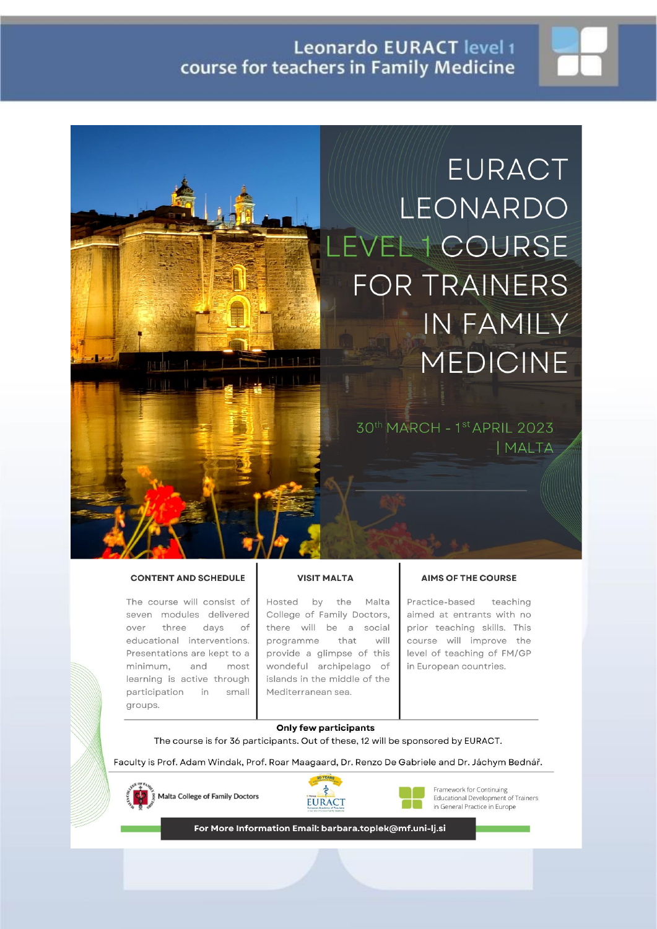

30th MARCH - 1st APRIL 2023 | MALTA

#### **CONTENT AND SCHEDULE**

The course will consist of seven modules delivered over three days of educational interventions. Presentations are kept to a minimum, and most learning is active through participation in small groups.

#### **VISIT MALTA**

Hosted by the Malta College of Family Doctors, there will be a social programme that will provide a glimpse of this wondeful archipelago of islands in the middle of the Mediterranean sea.

#### **AIMS OF THE COURSE**

Practice-based teaching aimed at entrants with no prior teaching skills. This course will improve the level of teaching of FM/GP in European countries.

#### **Only few participants**

The course is for 36 participants. Out of these, 12 will be sponsored by EURACT.

Faculty is Prof. Adam Windak, Prof. Roar Maagaard, Dr. Renzo De Gabriele and Dr. Jáchym Bednář.



Malta College of Family Doctors





Framework for Continuing Educational Development of Trainers in General Practice in Europe

For More Information Email: barbara.toplek@mf.uni-lj.si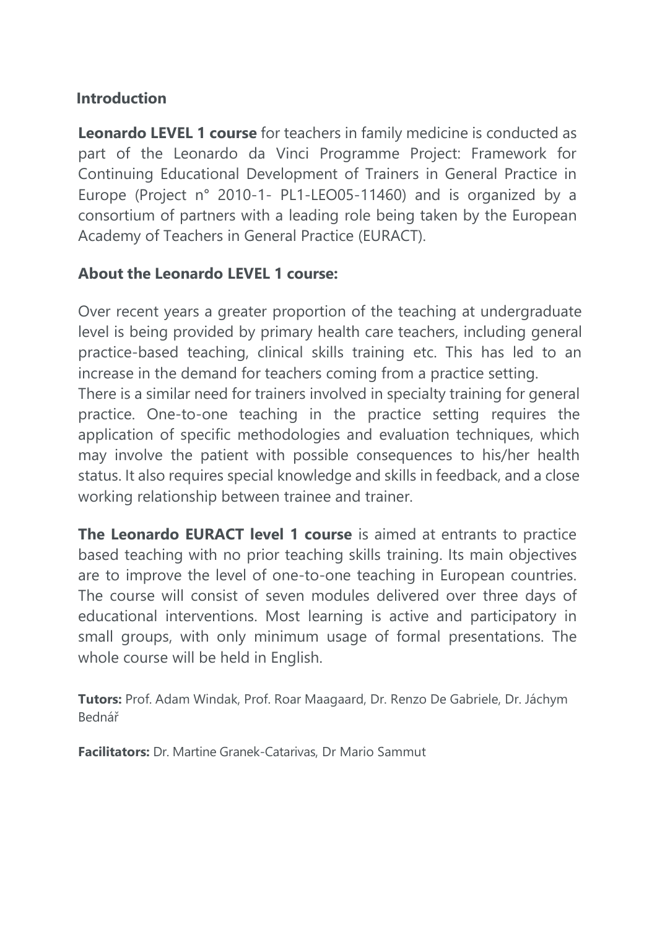## **Introduction**

**Leonardo LEVEL 1 course** for teachers in family medicine is conducted as part of the Leonardo da Vinci Programme Project: Framework for Continuing Educational Development of Trainers in General Practice in Europe (Project n° 2010-1- PL1-LEO05-11460) and is organized by a consortium of partners with a leading role being taken by the European Academy of Teachers in General Practice (EURACT).

# **About the Leonardo LEVEL 1 course:**

Over recent years a greater proportion of the teaching at undergraduate level is being provided by primary health care teachers, including general practice-based teaching, clinical skills training etc. This has led to an increase in the demand for teachers coming from a practice setting.

There is a similar need for trainers involved in specialty training for general practice. One-to-one teaching in the practice setting requires the application of specific methodologies and evaluation techniques, which may involve the patient with possible consequences to his/her health status. It also requires special knowledge and skills in feedback, and a close working relationship between trainee and trainer.

**The Leonardo EURACT level 1 course** is aimed at entrants to practice based teaching with no prior teaching skills training. Its main objectives are to improve the level of one-to-one teaching in European countries. The course will consist of seven modules delivered over three days of educational interventions. Most learning is active and participatory in small groups, with only minimum usage of formal presentations. The whole course will be held in English.

**Tutors:** Prof. Adam Windak, Prof. Roar Maagaard, Dr. Renzo De Gabriele, Dr. Jáchym Bednář

**Facilitators:** Dr. Martine Granek-Catarivas, Dr Mario Sammut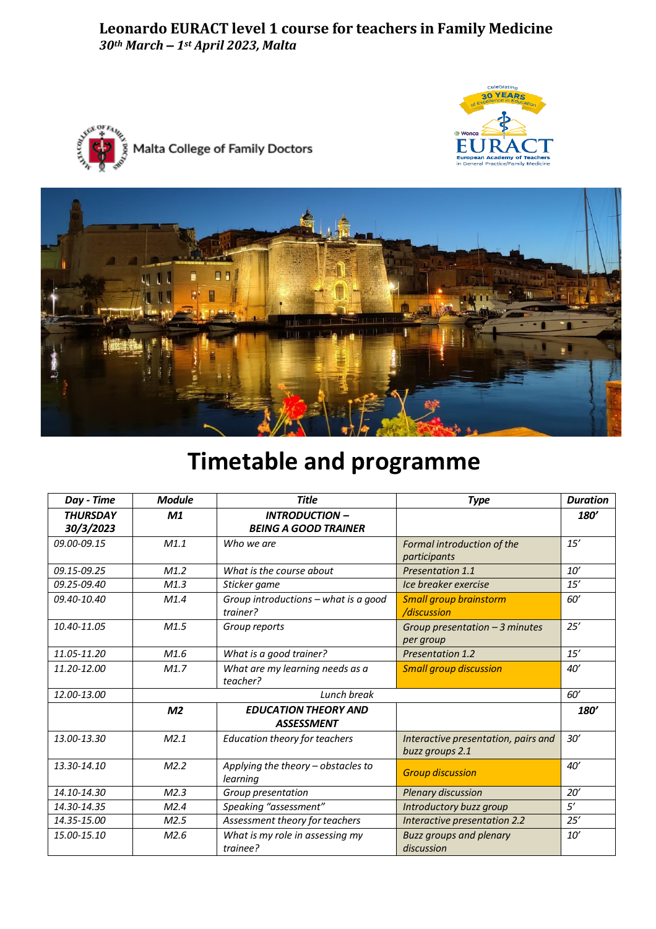### **Leonardo EURACT level 1 course for teachers in Family Medicine** *30th March – 1st April 2023, Malta*







# **Timetable and programme**

| Day - Time                   | <b>Module</b>  | <b>Title</b>                                         | <b>Type</b>                                            | <b>Duration</b> |
|------------------------------|----------------|------------------------------------------------------|--------------------------------------------------------|-----------------|
| <b>THURSDAY</b><br>30/3/2023 | M1             | <b>INTRODUCTION -</b><br><b>BEING A GOOD TRAINER</b> |                                                        | <b>180'</b>     |
| 09.00-09.15                  | M1.1           | Who we are                                           | Formal introduction of the<br>participants             | 15'             |
| 09.15-09.25                  | M1.2           | What is the course about                             | Presentation 1.1                                       | 10'             |
| 09.25-09.40                  | M1.3           | Sticker game                                         | Ice breaker exercise                                   | 15'             |
| 09.40-10.40                  | M1.4           | Group introductions - what is a good<br>trainer?     | <b>Small group brainstorm</b><br>/discussion           | 60'             |
| 10.40-11.05                  | M1.5           | Group reports                                        | Group presentation $-3$ minutes<br>per group           | 25'             |
| 11.05-11.20                  | M1.6           | What is a good trainer?                              | <b>Presentation 1.2</b>                                | 15'             |
| 11.20-12.00                  | M1.7           | What are my learning needs as a<br>teacher?          | <b>Small group discussion</b>                          | 40'             |
| 12.00-13.00                  |                | Lunch break                                          |                                                        | 60'             |
|                              | M <sub>2</sub> | <b>EDUCATION THEORY AND</b><br><b>ASSESSMENT</b>     |                                                        | <b>180'</b>     |
| 13.00-13.30                  | M2.1           | Education theory for teachers                        | Interactive presentation, pairs and<br>buzz groups 2.1 | 30'             |
| 13.30-14.10                  | M2.2           | Applying the theory - obstacles to<br>learning       | <b>Group discussion</b>                                | 40'             |
| 14.10-14.30                  | M2.3           | Group presentation                                   | Plenary discussion                                     | 20'             |
| 14.30-14.35                  | M2.4           | Speaking "assessment"                                | Introductory buzz group                                | 5'              |
| 14.35-15.00                  | M2.5           | Assessment theory for teachers                       | <b>Interactive presentation 2.2</b>                    | 25'             |
| 15.00-15.10                  | M2.6           | What is my role in assessing my<br>trainee?          | <b>Buzz groups and plenary</b><br>discussion           | 10'             |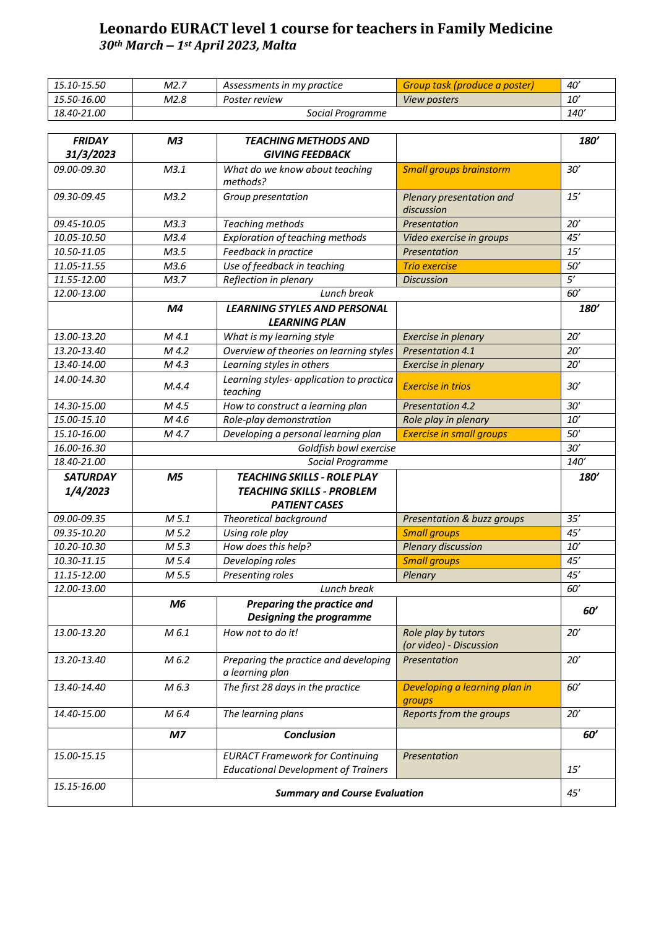## **Leonardo EURACT level 1 course for teachers in Family Medicine** *30th March – 1st April 2023, Malta*

| 15.10-15.50 | M2.7             | Assessments in my practice | Group task (produce a poster) | 40′         |
|-------------|------------------|----------------------------|-------------------------------|-------------|
| 15.50-16.00 | M2.8             | Poster review              | <i>View posters</i>           | <i>10'</i>  |
| 18.40-21.00 | Social Programme |                            |                               | <i>140'</i> |

| <b>FRIDAY</b><br>31/3/2023 | M <sub>3</sub>                       | <b>TEACHING METHODS AND</b><br><b>GIVING FEEDBACK</b>                                |                                                | <b>180'</b>     |
|----------------------------|--------------------------------------|--------------------------------------------------------------------------------------|------------------------------------------------|-----------------|
| 09.00-09.30                | M3.1                                 | What do we know about teaching<br>methods?                                           | <b>Small groups brainstorm</b>                 | 30'             |
| 09.30-09.45                | M3.2                                 | Group presentation                                                                   | Plenary presentation and<br>discussion         | 15'             |
| 09.45-10.05                | M3.3                                 | Teaching methods                                                                     | Presentation                                   | 20'             |
| 10.05-10.50                | M3.4                                 | Exploration of teaching methods                                                      | Video exercise in groups                       | 45'             |
| 10.50-11.05                | M3.5                                 | Feedback in practice                                                                 | Presentation                                   | 15'             |
| 11.05-11.55                | M3.6                                 | Use of feedback in teaching                                                          | <b>Trio exercise</b>                           | 50'             |
| 11.55-12.00                | M3.7                                 | Reflection in plenary                                                                | <b>Discussion</b>                              | $\overline{5'}$ |
| 12.00-13.00                |                                      | Lunch break                                                                          |                                                | 60'             |
|                            | M <sub>4</sub>                       | <b>LEARNING STYLES AND PERSONAL</b><br><b>LEARNING PLAN</b>                          |                                                | <b>180'</b>     |
| 13.00-13.20                | M 4.1                                | What is my learning style                                                            | Exercise in plenary                            | 20'             |
| 13.20-13.40                | M 4.2                                | Overview of theories on learning styles                                              | <b>Presentation 4.1</b>                        | 20'             |
| 13.40-14.00                | M 4.3                                | Learning styles in others                                                            | Exercise in plenary                            | 20'             |
| 14.00-14.30                | M.4.4                                | Learning styles- application to practica<br>teaching                                 | <b>Exercise in trios</b>                       | 30'             |
| 14.30-15.00                | M 4.5                                | How to construct a learning plan                                                     | <b>Presentation 4.2</b>                        | 30'             |
| 15.00-15.10                | M 4.6                                | Role-play demonstration                                                              | Role play in plenary                           | 10'             |
| 15.10-16.00                | M 4.7                                | Developing a personal learning plan                                                  | <b>Exercise in small groups</b>                | 50'             |
| 16.00-16.30                | Goldfish bowl exercise               |                                                                                      | $\overline{30'}$                               |                 |
| 18.40-21.00                | Social Programme                     |                                                                                      |                                                | 140'            |
| <b>SATURDAY</b>            | M <sub>5</sub>                       | <b>TEACHING SKILLS - ROLE PLAY</b>                                                   |                                                | <b>180'</b>     |
| 1/4/2023                   |                                      | <b>TEACHING SKILLS - PROBLEM</b>                                                     |                                                |                 |
|                            |                                      | <b>PATIENT CASES</b>                                                                 |                                                |                 |
| 09.00-09.35                | M 5.1                                | Theoretical background                                                               | Presentation & buzz groups                     | 35'             |
| 09.35-10.20                | M 5.2                                | Using role play                                                                      | <b>Small groups</b>                            | 45'             |
| 10.20-10.30                | M 5.3                                | How does this help?                                                                  | <b>Plenary discussion</b>                      | $10'$           |
| 10.30-11.15                | M 5.4                                | Developing roles                                                                     | <b>Small groups</b>                            | 45'             |
| 11.15-12.00                | M 5.5                                | Presenting roles                                                                     | Plenary                                        | 45'             |
| 12.00-13.00                | Lunch break                          |                                                                                      |                                                | 60'             |
|                            | M6                                   | Preparing the practice and<br><b>Designing the programme</b>                         |                                                | 60'             |
| 13.00-13.20                | M 6.1                                | How not to do it!                                                                    | Role play by tutors<br>(or video) - Discussion | 20'             |
| 13.20-13.40                | M 6.2                                | Preparing the practice and developing<br>a learning plan                             | Presentation                                   | 20'             |
| 13.40-14.40                | M 6.3                                | The first 28 days in the practice                                                    | Developing a learning plan in<br>groups        | 60'             |
| 14.40-15.00                | M 6.4                                | The learning plans                                                                   | Reports from the groups                        | 20'             |
|                            | M7                                   | <b>Conclusion</b>                                                                    |                                                | 60'             |
| 15.00-15.15                |                                      | <b>EURACT Framework for Continuing</b><br><b>Educational Development of Trainers</b> | Presentation                                   | 15'             |
| 15.15-16.00                | <b>Summary and Course Evaluation</b> |                                                                                      | 45'                                            |                 |